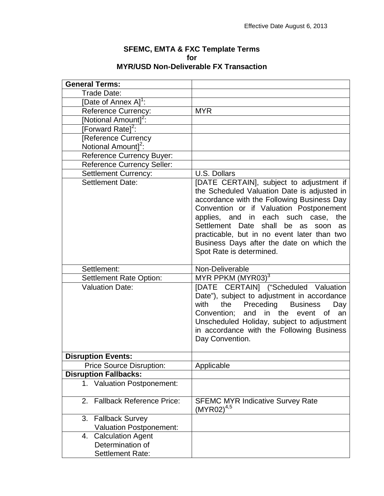## **SFEMC, EMTA & FXC Template Terms for MYR/USD Non-Deliverable FX Transaction**

| <b>General Terms:</b>                  |                                                                                                                                                                                                                                                                                                                                                                                                          |
|----------------------------------------|----------------------------------------------------------------------------------------------------------------------------------------------------------------------------------------------------------------------------------------------------------------------------------------------------------------------------------------------------------------------------------------------------------|
| Trade Date:                            |                                                                                                                                                                                                                                                                                                                                                                                                          |
| [Date of Annex A] <sup>1</sup> :       |                                                                                                                                                                                                                                                                                                                                                                                                          |
| <b>Reference Currency:</b>             | <b>MYR</b>                                                                                                                                                                                                                                                                                                                                                                                               |
| [Notional Amount] <sup>2</sup> :       |                                                                                                                                                                                                                                                                                                                                                                                                          |
| [Forward Rate] <sup>2</sup> :          |                                                                                                                                                                                                                                                                                                                                                                                                          |
| [Reference Currency                    |                                                                                                                                                                                                                                                                                                                                                                                                          |
| Notional Amount] <sup>2</sup> :        |                                                                                                                                                                                                                                                                                                                                                                                                          |
| <b>Reference Currency Buyer:</b>       |                                                                                                                                                                                                                                                                                                                                                                                                          |
| <b>Reference Currency Seller:</b>      |                                                                                                                                                                                                                                                                                                                                                                                                          |
| <b>Settlement Currency:</b>            | U.S. Dollars                                                                                                                                                                                                                                                                                                                                                                                             |
| <b>Settlement Date:</b>                | [DATE CERTAIN], subject to adjustment if<br>the Scheduled Valuation Date is adjusted in<br>accordance with the Following Business Day<br>Convention or if Valuation Postponement<br>applies, and in each such case,<br>the<br>Settlement Date<br>shall<br>be<br>as<br>soon<br>as<br>practicable, but in no event later than two<br>Business Days after the date on which the<br>Spot Rate is determined. |
| Settlement:                            | Non-Deliverable                                                                                                                                                                                                                                                                                                                                                                                          |
| <b>Settlement Rate Option:</b>         | MYR PPKM $(MYR03)^3$                                                                                                                                                                                                                                                                                                                                                                                     |
| <b>Valuation Date:</b>                 | [DATE CERTAIN] ("Scheduled Valuation<br>Date"), subject to adjustment in accordance<br>with<br>Preceding<br><b>Business</b><br>the<br>Day<br>an<br>Convention;<br>and in the<br>event of<br>Unscheduled Holiday, subject to adjustment<br>in accordance with the Following Business<br>Day Convention.                                                                                                   |
| <b>Disruption Events:</b>              |                                                                                                                                                                                                                                                                                                                                                                                                          |
| <b>Price Source Disruption:</b>        | Applicable                                                                                                                                                                                                                                                                                                                                                                                               |
| <b>Disruption Fallbacks:</b>           |                                                                                                                                                                                                                                                                                                                                                                                                          |
| <b>Valuation Postponement:</b><br>1.   |                                                                                                                                                                                                                                                                                                                                                                                                          |
| <b>Fallback Reference Price:</b><br>2. | <b>SFEMC MYR Indicative Survey Rate</b><br>$(MYR02)^{4,5}$                                                                                                                                                                                                                                                                                                                                               |
| 3.<br><b>Fallback Survey</b>           |                                                                                                                                                                                                                                                                                                                                                                                                          |
| <b>Valuation Postponement:</b>         |                                                                                                                                                                                                                                                                                                                                                                                                          |
| <b>Calculation Agent</b><br>4.         |                                                                                                                                                                                                                                                                                                                                                                                                          |
| Determination of                       |                                                                                                                                                                                                                                                                                                                                                                                                          |
| <b>Settlement Rate:</b>                |                                                                                                                                                                                                                                                                                                                                                                                                          |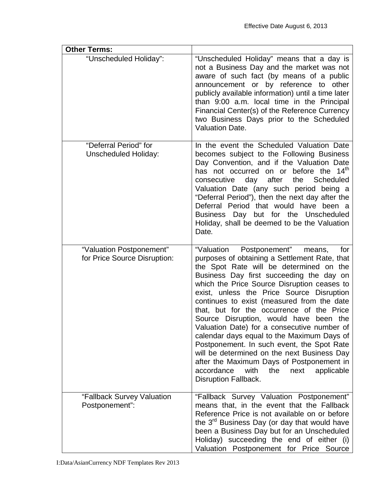| <b>Other Terms:</b>                                      |                                                                                                                                                                                                                                                                                                                                                                                                                                                                                                                                                                                                                                                                                                                                      |
|----------------------------------------------------------|--------------------------------------------------------------------------------------------------------------------------------------------------------------------------------------------------------------------------------------------------------------------------------------------------------------------------------------------------------------------------------------------------------------------------------------------------------------------------------------------------------------------------------------------------------------------------------------------------------------------------------------------------------------------------------------------------------------------------------------|
| "Unscheduled Holiday":                                   | "Unscheduled Holiday" means that a day is<br>not a Business Day and the market was not<br>aware of such fact (by means of a public<br>announcement or by reference to other<br>publicly available information) until a time later<br>than 9:00 a.m. local time in the Principal<br>Financial Center(s) of the Reference Currency<br>two Business Days prior to the Scheduled<br><b>Valuation Date.</b>                                                                                                                                                                                                                                                                                                                               |
| "Deferral Period" for<br><b>Unscheduled Holiday:</b>     | In the event the Scheduled Valuation Date<br>becomes subject to the Following Business<br>Day Convention, and if the Valuation Date<br>has not occurred on or before the 14 <sup>th</sup><br>consecutive<br>day after<br>the Scheduled<br>Valuation Date (any such period being a<br>"Deferral Period"), then the next day after the<br>Deferral Period that would have been a<br>Business Day but for the Unscheduled<br>Holiday, shall be deemed to be the Valuation<br>Date.                                                                                                                                                                                                                                                      |
| "Valuation Postponement"<br>for Price Source Disruption: | "Valuation Postponement"<br>for<br>means,<br>purposes of obtaining a Settlement Rate, that<br>the Spot Rate will be determined on the<br>Business Day first succeeding the day on<br>which the Price Source Disruption ceases to<br>exist, unless the Price Source Disruption<br>continues to exist (measured from the date<br>that, but for the occurrence of the Price<br>Source Disruption, would have been the<br>Valuation Date) for a consecutive number of<br>calendar days equal to the Maximum Days of<br>Postponement. In such event, the Spot Rate<br>will be determined on the next Business Day<br>after the Maximum Days of Postponement in<br>accordance<br>with<br>the<br>next<br>applicable<br>Disruption Fallback. |
| "Fallback Survey Valuation<br>Postponement":             | "Fallback Survey Valuation Postponement"<br>means that, in the event that the Fallback<br>Reference Price is not available on or before<br>the 3 <sup>rd</sup> Business Day (or day that would have<br>been a Business Day but for an Unscheduled<br>Holiday) succeeding the end of either (i)<br>Valuation Postponement for Price Source                                                                                                                                                                                                                                                                                                                                                                                            |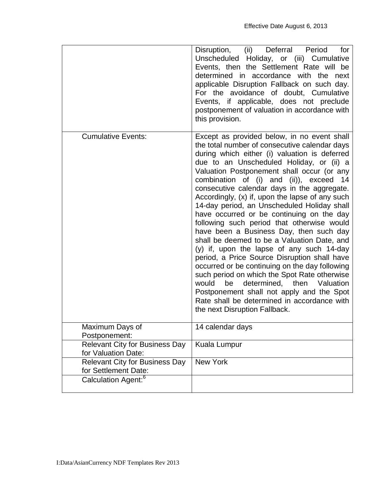|                                                               | (ii) Deferral<br>Disruption,<br>Period<br>for<br>Unscheduled Holiday, or (iii) Cumulative<br>Events, then the Settlement Rate will be<br>determined in accordance with the next<br>applicable Disruption Fallback on such day.<br>For the avoidance of doubt, Cumulative<br>Events, if applicable, does not preclude<br>postponement of valuation in accordance with<br>this provision.                                                                                                                                                                                                                                                                                                                                                                                                                                                                                                                                                                                                                 |
|---------------------------------------------------------------|---------------------------------------------------------------------------------------------------------------------------------------------------------------------------------------------------------------------------------------------------------------------------------------------------------------------------------------------------------------------------------------------------------------------------------------------------------------------------------------------------------------------------------------------------------------------------------------------------------------------------------------------------------------------------------------------------------------------------------------------------------------------------------------------------------------------------------------------------------------------------------------------------------------------------------------------------------------------------------------------------------|
| <b>Cumulative Events:</b>                                     | Except as provided below, in no event shall<br>the total number of consecutive calendar days<br>during which either (i) valuation is deferred<br>due to an Unscheduled Holiday, or (ii) a<br>Valuation Postponement shall occur (or any<br>combination of (i) and (ii)), exceed<br>14<br>consecutive calendar days in the aggregate.<br>Accordingly, (x) if, upon the lapse of any such<br>14-day period, an Unscheduled Holiday shall<br>have occurred or be continuing on the day<br>following such period that otherwise would<br>have been a Business Day, then such day<br>shall be deemed to be a Valuation Date, and<br>(y) if, upon the lapse of any such 14-day<br>period, a Price Source Disruption shall have<br>occurred or be continuing on the day following<br>such period on which the Spot Rate otherwise<br>determined, then<br>would<br>Valuation<br>be<br>Postponement shall not apply and the Spot<br>Rate shall be determined in accordance with<br>the next Disruption Fallback. |
| Maximum Days of<br>Postponement:                              | 14 calendar days                                                                                                                                                                                                                                                                                                                                                                                                                                                                                                                                                                                                                                                                                                                                                                                                                                                                                                                                                                                        |
| <b>Relevant City for Business Day</b><br>for Valuation Date:  | Kuala Lumpur                                                                                                                                                                                                                                                                                                                                                                                                                                                                                                                                                                                                                                                                                                                                                                                                                                                                                                                                                                                            |
| <b>Relevant City for Business Day</b><br>for Settlement Date: | <b>New York</b>                                                                                                                                                                                                                                                                                                                                                                                                                                                                                                                                                                                                                                                                                                                                                                                                                                                                                                                                                                                         |
| Calculation Agent: <sup>6</sup>                               |                                                                                                                                                                                                                                                                                                                                                                                                                                                                                                                                                                                                                                                                                                                                                                                                                                                                                                                                                                                                         |